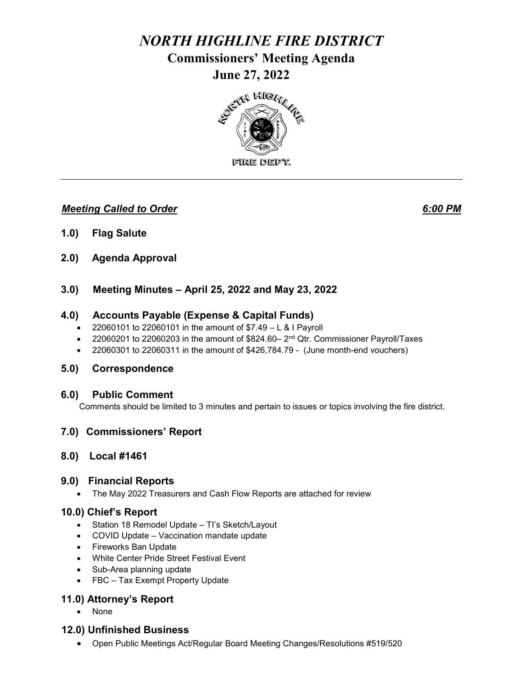# *NORTH HIGHLINE FIRE DISTRICT*  **Commissioners' Meeting Agenda June 27, 2022**



## *Meeting Called to Order 6:00 PM*

- **1.0) Flag Salute**
- **2.0) Agenda Approval**
- **3.0) Meeting Minutes – April 25, 2022 and May 23, 2022**

## **4.0) Accounts Payable (Expense & Capital Funds)**

- 22060101 to 22060101 in the amount of  $$7.49 L & I$  Payroll
- 22060201 to 22060203 in the amount of  $$824.60-2<sup>nd</sup> Qtr.$  Commissioner Payroll/Taxes
- 22060301 to 22060311 in the amount of \$426,784.79 (June month-end vouchers)

### **5.0) Correspondence**

#### **6.0) Public Comment**

Comments should be limited to 3 minutes and pertain to issues or topics involving the fire district.

## **7.0) Commissioners' Report**

### **8.0) Local #1461**

### **9.0) Financial Reports**

• The May 2022 Treasurers and Cash Flow Reports are attached for review

### **10.0) Chief's Report**

- Station 18 Remodel Update TI's Sketch/Layout
- COVID Update Vaccination mandate update
- Fireworks Ban Update
- White Center Pride Street Festival Event
- Sub-Area planning update
- FBC Tax Exempt Property Update

## **11.0) Attorney's Report**

• None

### **12.0) Unfinished Business**

• Open Public Meetings Act/Regular Board Meeting Changes/Resolutions #519/520